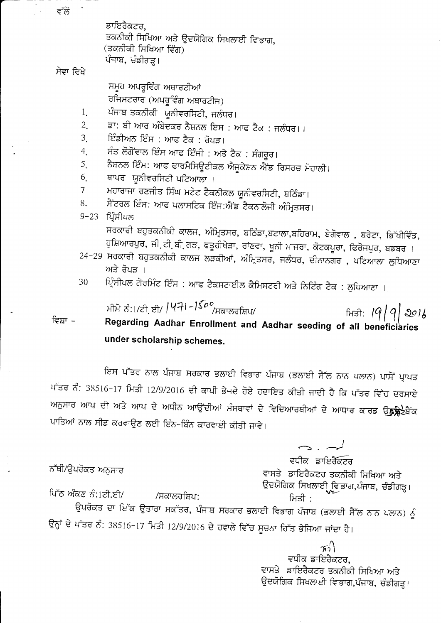ਡਾਇਰੈਕਟਰ, ਤਕਨੀਕੀ ਸਿਖਿਆ ਅਤੇ ਉਦਯੋਗਿਕ ਸਿਖਲਾਈ ਵਿਭਾਗ, (ਤਕਨੀਕੀ ਸਿਖਿਆ ਵਿੰਗ) ਪੰਜਾਬ, ਚੰਡੀਗੜ੍ਹ।

## ਸੇਵਾ ਵਿਖੇ

ਸਮੂਹ ਅਪਰੂਵਿੰਗ ਅਥਾਰਟੀਆਂ ਰਜਿਸਟਰਾਰ (ਅਪਰੂਵਿੰਗ ਅਥਾਰਟੀਜ)

ਪੰਜਾਬ ਤਕਨੀਕੀ ਯੂਨੀਵਰਸਿਟੀ, ਜਲੰਧਰ।  $1_{\cdot}$ 

- ਡਾ: ਬੀ ਆਰ ਅੰਬੇਦਕਰ ਨੈਸ਼ਨਲ ਇਸ : ਆਫ ਟੈਕ : ਜਲੰਧਰ।।  $2<sub>1</sub>$
- ਇੰਡੀਅਨ ਇੰਸ : ਆਫ ਟੈਕ : ਰੋਪੜ।  $3<sub>1</sub>$
- ਸੰਤ ਲੋਗੋਂਵਾਲ ਇੰਸ ਆਫ ਇੰਜੀ : ਅਤੇ ਟੈਕ : ਸੰਗਰੂਰ।  $\overline{4}$
- ਨੈਸ਼ਨਲ ਇੰਸ: ਆਫ ਫਾਰਮੈਸਿਊਟੀਕਲ ਐਜੂਕੇਸ਼ਨ ਐਂਡ ਰਿਸਰਚ ਮੋਹਾਲੀ।  $5<sub>1</sub>$
- ਥਾਪਰ ਯੂਨੀਵਰਸਿਟੀ ਪਟਿਆਲਾ । 6.
- ਮਹਾਰਾਜਾ ਰਣਜੀਤ ਸਿੰਘ ਸਟੇਟ ਟੈਕਨੀਕਲ ਯੂਨੀਵਰਸਿਟੀ, ਬਠਿੰਡਾ।  $\overline{\mathcal{L}}$
- ਸੈਂਟਰਲ ਇੰਸ: ਆਫ ਪਲਾਸਟਿਕ ਇੰਜ:ਐਂਡ ਟੈਕਨਾਲੋਜੀ ਅੰਮ੍ਰਿਤਸਰ। 8.
- 9-23 ਪ੍ਰਿੰਸੀਪਲ

ਸਰਕਾਰੀ ਬਹੁਤਕਨੀਕੀ ਕਾਲਜ, ਅੰਮ੍ਰਿਤਸਰ, ਬਠਿੰਡਾ,ਬਟਾਲਾ,ਬਹਿਰਾਮ, ਬੇਗੋਵਾਲ , ਬਰੇਟਾ, ਭਿੱਖੀਵਿੰਡ, ਹੁਸ਼ਿਆਰਪੁਰ, ਜੀ ਟੀ ਬੀ ਗੜ, ਫਤੂਹੀਖੇੜਾ, ਰਾਂਣਵਾ, ਖੂਨੀ ਮਾਜਰਾ, ਕੋਟਕਪੂਰਾ, ਫਿਰੋਜਪੁਰ, ਬਡਬਰ ।

- 24-29 ਸਰਕਾਰੀ ਬਹੁਤਕਨੀਕੀ ਕਾਲਜ ਲੜਕੀਆਂ, ਅੰਮ੍ਰਿਤਸਰ, ਜਲੰਧਰ, ਦੀਨਾਨਗਰ , ਪਟਿਆਲਾ ਲੁਧਿਆਣਾ ਅਤੇ ਰੋਪੜ ।
- ਪ੍ਰਿੰਸੀਪਲ ਗੋਰਮਿੰਟ ਇੰਸ : ਆਫ ਟੈਕਸਟਾਈਲ ਕੈਮਿਸਟਰੀ ਅਤੇ ਨਿਟਿੰਗ ਟੈਕ : ਲੁਧਿਆਣਾ । 30
- ਮੀਮੋ ਨੰ:।/ਟੀ ਼ਈ/ |Чने।−I<sup>⊆o</sup>°/ਸਕਾਲਰਸ਼ਿਪ/  $\frac{1}{2}$   $\frac{1}{9}$   $\frac{1}{9}$   $\frac{1}{201}$ ਵਿਸ਼ਾ – Regarding Aadhar Enrollment and Aadhar seeding of all beneficiaries under scholarship schemes.

ਇਸ ਪੱਤਰ ਨਾਲ ਪੰਜਾਬ ਸਰਕਾਰ ਭਲਾਈ ਵਿਭਾਗ ਪੰਜਾਬ (ਭਲਾਈ ਸੈੱਲ ਨਾਨ ਪਲਾਨ) ਪਾਸੋਂ ਪ੍ਰਾਪਤ ਪੱਤਰ ਨੰ: 38516-17 ਮਿਤੀ 12/9/2016 ਦੀ ਕਾਪੀ ਭੇਜਦੇ ਹੋਏ ਹਦਾਇਤ ਕੀਤੀ ਜਾਦੀ ਹੈ ਕਿ ਪੱਤਰ ਵਿੱਚ ਦਰਸਾਏ ਅਨੁਸਾਰ ਆਪ ਦੀ ਅਤੇ ਆਪ ਦੇ ਅਧੀਨ ਆਉਂਦੀਆਂ ਸੰਸਥਾਵਾਂ ਦੇ ਵਿਦਿਆਰਥੀਆਂ ਦੇ ਆਧਾਰ ਕਾਰਡ ਉ**ਨ੍ਹੱਡੇ**ਟੇਬੈਂਕ ਖਾਤਿਆਂ ਨਾਲ ਸੀਡ ਕਰਵਾਉਣ ਲਈ ਇੰਨ-ਬਿੰਨ ਕਾਰਵਾਈ ਕੀਤੀ ਜਾਵੇ।

> ਵਧੀਕ ਡਾਇਰੈੱਕਟਰ ਵਾਸਤੇ ਡਾਇਰੈਕਟਰ ਤਕਨੀਕੀ ਸਿਖਿਆ ਅਤੇ ਉਦਯੋਗਿਕ ਸਿਖਲਾਈ ਵਿਭਾਗ,ਪੰਜਾਬ, ਚੰਡੀਗੜ੍ਹ। ਮਿਤੀ :

ਪਿੱਠ ਅੰਕਣ ਨੰ:1ਟੀ.ਈ/ /ਸਕਾਲਰਸ਼ਿਪ:

ਨੱਥੀ/ਉਪਰੋਕਤ ਅਨੁਸਾਰ

ਉਪਰੋਕਤ ਦਾ ਇੱਕ ਉਤਾਰਾ ਸਕੱਤਰ, ਪੰਜਾਬ ਸਰਕਾਰ ਭਲਾਈ ਵਿਭਾਗ ਪੰਜਾਬ (ਭਲਾਈ ਸੈੱਲ ਨਾਨ ਪਲਾਨ) ਨੂੰ ਉਨ੍ਹਾਂ ਦੇ ਪੱਤਰ ਨੰ: 38516-17 ਮਿਤੀ 12/9/2016 ਦੇ ਹਵਾਲੇ ਵਿੱਚ ਸੂਚਨਾ ਹਿੱਤ ਭੇਜਿਆ ਜਾਂਦਾ ਹੈ।

> $\gamma_2$ ਵਧੀਕ ਡਾਇਰੈਕਟਰ, ਵਾਸਤੇ ਡਾਇਰੈਕਟਰ ਤਕਨੀਕੀ ਸਿਖਿਆ ਅਤੇ ਉਦਯੋਗਿਕ ਸਿਖਲਾਈ ਵਿਭਾਗ,ਪੰਜਾਬ, ਚੰਡੀਗੜ੍ਹ।

ਵੱਲੋ